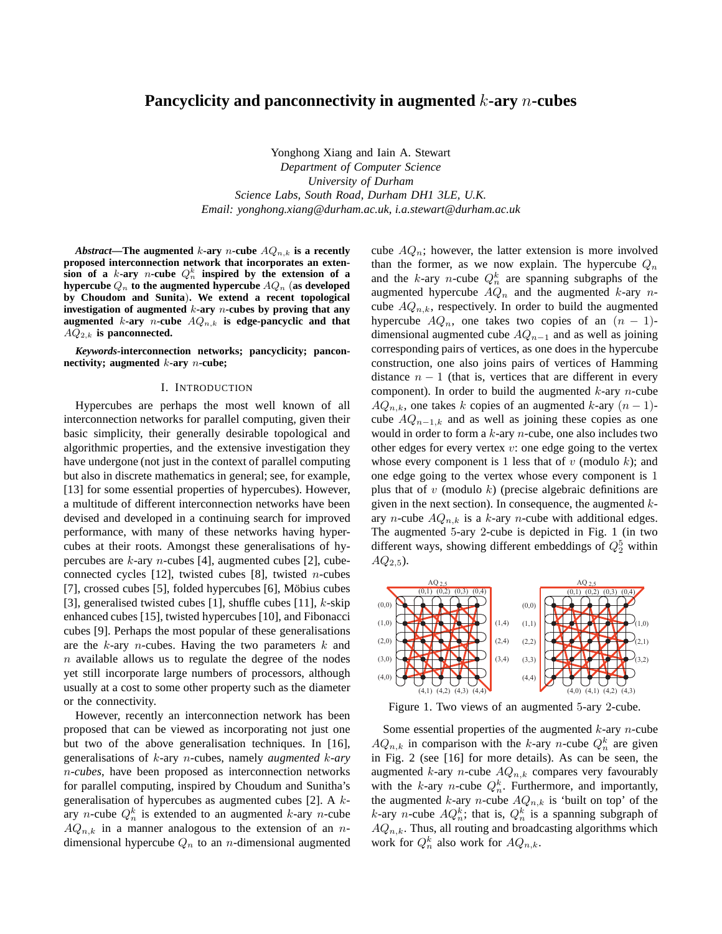# **Pancyclicity and panconnectivity in augmented** k**-ary** n**-cubes**

Yonghong Xiang and Iain A. Stewart *Department of Computer Science University of Durham Science Labs, South Road, Durham DH1 3LE, U.K. Email: yonghong.xiang@durham.ac.uk, i.a.stewart@durham.ac.uk*

*Abstract*—The augmented *k*-ary *n*-cube  $AQ_{n,k}$  is a recently **proposed interconnection network that incorporates an exten-** $\overline{\textbf{s}}$  ion of a *k*-ary *n*-cube  $Q_n^k$  inspired by the extension of a hypercube  $Q_n$  to the augmented hypercube  $AQ_n$  (as developed **by Choudom and Sunita**)**. We extend a recent topological investigation of augmented** k**-ary** n**-cubes by proving that any augmented** k-ary *n*-cube  $AQ_{n,k}$  is edge-pancyclic and that  $AO_{2,k}$  is panconnected.

*Keywords***-interconnection networks; pancyclicity; panconnectivity; augmented** k**-ary** n**-cube;**

#### I. INTRODUCTION

Hypercubes are perhaps the most well known of all interconnection networks for parallel computing, given their basic simplicity, their generally desirable topological and algorithmic properties, and the extensive investigation they have undergone (not just in the context of parallel computing but also in discrete mathematics in general; see, for example, [13] for some essential properties of hypercubes). However, a multitude of different interconnection networks have been devised and developed in a continuing search for improved performance, with many of these networks having hypercubes at their roots. Amongst these generalisations of hypercubes are  $k$ -ary *n*-cubes [4], augmented cubes [2], cubeconnected cycles [12], twisted cubes [8], twisted *n*-cubes [7], crossed cubes [5], folded hypercubes [6], Möbius cubes [3], generalised twisted cubes [1], shuffle cubes [11],  $k$ -skip enhanced cubes [15], twisted hypercubes [10], and Fibonacci cubes [9]. Perhaps the most popular of these generalisations are the  $k$ -ary *n*-cubes. Having the two parameters  $k$  and  $n$  available allows us to regulate the degree of the nodes yet still incorporate large numbers of processors, although usually at a cost to some other property such as the diameter or the connectivity.

However, recently an interconnection network has been proposed that can be viewed as incorporating not just one but two of the above generalisation techniques. In [16], generalisations of k-ary n-cubes, namely *augmented* k*-ary* n*-cubes*, have been proposed as interconnection networks for parallel computing, inspired by Choudum and Sunitha's generalisation of hypercubes as augmented cubes [2]. A kary *n*-cube  $Q_n^k$  is extended to an augmented *k*-ary *n*-cube  $AQ_{n,k}$  in a manner analogous to the extension of an ndimensional hypercube  $Q_n$  to an *n*-dimensional augmented cube  $AQ_n$ ; however, the latter extension is more involved than the former, as we now explain. The hypercube  $Q_n$ and the k-ary *n*-cube  $Q_n^k$  are spanning subgraphs of the augmented hypercube  $AQ_n$  and the augmented k-ary ncube  $AQ_{n,k}$ , respectively. In order to build the augmented hypercube  $AQ_n$ , one takes two copies of an  $(n - 1)$ dimensional augmented cube  $AQ_{n-1}$  and as well as joining corresponding pairs of vertices, as one does in the hypercube construction, one also joins pairs of vertices of Hamming distance  $n - 1$  (that is, vertices that are different in every component). In order to build the augmented  $k$ -ary *n*-cube  $AQ_{n,k}$ , one takes k copies of an augmented k-ary  $(n-1)$ cube  $AQ_{n-1,k}$  and as well as joining these copies as one would in order to form a  $k$ -ary  $n$ -cube, one also includes two other edges for every vertex  $v:$  one edge going to the vertex whose every component is 1 less that of  $v$  (modulo  $k$ ); and one edge going to the vertex whose every component is 1 plus that of  $v$  (modulo  $k$ ) (precise algebraic definitions are given in the next section). In consequence, the augmented  $k$ ary *n*-cube  $AQ_{n,k}$  is a k-ary *n*-cube with additional edges. The augmented 5-ary 2-cube is depicted in Fig. 1 (in two different ways, showing different embeddings of  $Q_2^5$  within  $AQ_{2.5}$ ).



Figure 1. Two views of an augmented 5-ary 2-cube.

Some essential properties of the augmented  $k$ -ary *n*-cube  $AQ_{n,k}$  in comparison with the k-ary n-cube  $Q_n^k$  are given in Fig. 2 (see [16] for more details). As can be seen, the augmented k-ary n-cube  $AQ_{n,k}$  compares very favourably with the k-ary *n*-cube  $Q_n^k$ . Furthermore, and importantly, the augmented k-ary *n*-cube  $AQ_{n,k}$  is 'built on top' of the k-ary *n*-cube  $AQ_n^k$ ; that is,  $Q_n^k$  is a spanning subgraph of  $AQ_{n,k}$ . Thus, all routing and broadcasting algorithms which work for  $Q_n^k$  also work for  $AQ_{n,k}$ .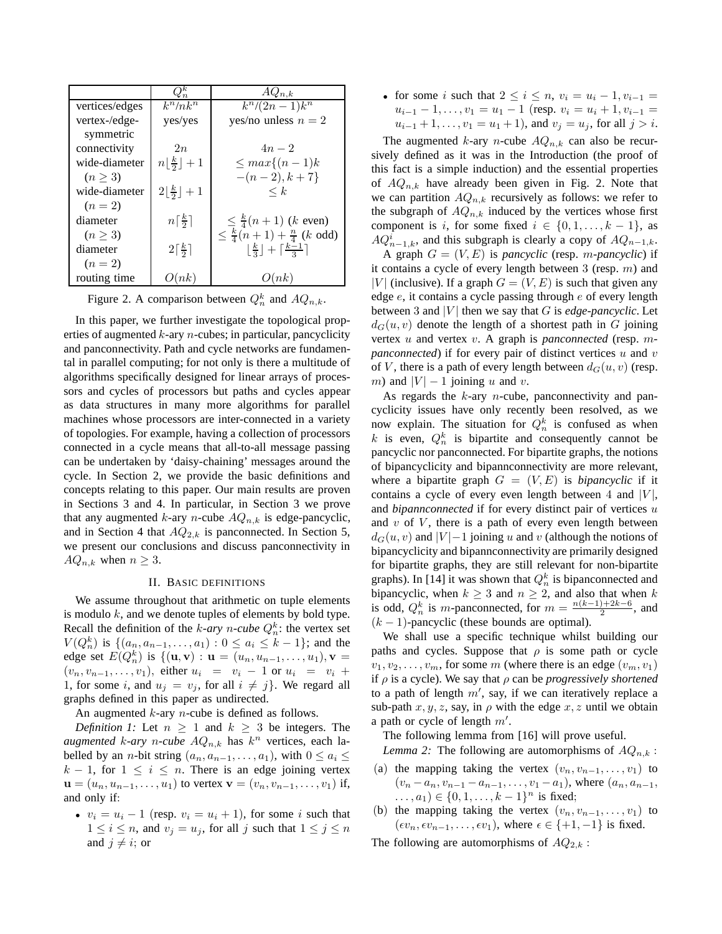|                | $Q_n^k$                                       | $AQ_{n,k}$                                                                  |
|----------------|-----------------------------------------------|-----------------------------------------------------------------------------|
| vertices/edges | $k^n/nk^n$                                    | $\sqrt{k^n/(2n-1)}k^n$                                                      |
| vertex-/edge-  | yes/yes                                       | yes/no unless $n = 2$                                                       |
| symmetric      |                                               |                                                                             |
| connectivity   | 2n                                            | $4n-2$                                                                      |
| wide-diameter  | $n\left\lfloor \frac{k}{2} \right\rfloor + 1$ | $\leq max\{(n-1)k\}$                                                        |
| (n > 3)        |                                               | $-(n-2), k+7$                                                               |
| wide-diameter  | $2 \frac{k}{2} +1$                            | $\leq k$                                                                    |
| $(n = 2)$      |                                               |                                                                             |
| diameter       | $n\lceil\frac{k}{2}\rceil$                    | $\leq \frac{k}{4}(n+1)$ (k even)                                            |
| (n > 3)        |                                               | $\leq \frac{k}{4}(n+1) + \frac{n}{4}$ (k odd)                               |
| diameter       | $2\lceil \frac{k}{2} \rceil$                  | $\left\lfloor\frac{k}{3}\right\rfloor+\left\lceil\frac{k-1}{3}\right\rceil$ |
| $(n = 2)$      |                                               |                                                                             |
| routing time   | O(nk)                                         | O(nk)                                                                       |

Figure 2. A comparison between  $Q_n^k$  and  $AQ_{n,k}$ .

In this paper, we further investigate the topological properties of augmented  $k$ -ary  $n$ -cubes; in particular, pancyclicity and panconnectivity. Path and cycle networks are fundamental in parallel computing; for not only is there a multitude of algorithms specifically designed for linear arrays of processors and cycles of processors but paths and cycles appear as data structures in many more algorithms for parallel machines whose processors are inter-connected in a variety of topologies. For example, having a collection of processors connected in a cycle means that all-to-all message passing can be undertaken by 'daisy-chaining' messages around the cycle. In Section 2, we provide the basic definitions and concepts relating to this paper. Our main results are proven in Sections 3 and 4. In particular, in Section 3 we prove that any augmented k-ary *n*-cube  $AQ_{n,k}$  is edge-pancyclic, and in Section 4 that  $AQ_{2,k}$  is panconnected. In Section 5, we present our conclusions and discuss panconnectivity in  $AQ_{n,k}$  when  $n \geq 3$ .

### II. BASIC DEFINITIONS

We assume throughout that arithmetic on tuple elements is modulo  $k$ , and we denote tuples of elements by bold type. Recall the definition of the *k*-ary *n*-cube  $Q_n^k$ : the vertex set  $V(Q_n^k)$  is  $\{(a_n, a_{n-1}, \ldots, a_1) : 0 \le a_i \le k-1\}$ ; and the edge set  $E(Q_n^k)$  is  $\{(\mathbf{u}, \mathbf{v}) : \mathbf{u} = (u_n, u_{n-1}, \dots, u_1), \mathbf{v} =$  $(v_n, v_{n-1}, \ldots, v_1)$ , either  $u_i = v_i - 1$  or  $u_i = v_i + ...$ 1, for some i, and  $u_j = v_j$ , for all  $i \neq j$ . We regard all graphs defined in this paper as undirected.

An augmented  $k$ -ary  $n$ -cube is defined as follows.

*Definition 1:* Let  $n \geq 1$  and  $k \geq 3$  be integers. The *augmented*  $k$ -*ary*  $n$ -*cube*  $AQ_{n,k}$  has  $k^n$  vertices, each labelled by an *n*-bit string  $(a_n, a_{n-1}, \ldots, a_1)$ , with  $0 \le a_i \le$  $k - 1$ , for  $1 \leq i \leq n$ . There is an edge joining vertex  $u = (u_n, u_{n-1}, \dots, u_1)$  to vertex  $v = (v_n, v_{n-1}, \dots, v_1)$  if, and only if:

•  $v_i = u_i - 1$  (resp.  $v_i = u_i + 1$ ), for some i such that  $1 \leq i \leq n$ , and  $v_j = u_j$ , for all j such that  $1 \leq j \leq n$ and  $j \neq i$ ; or

• for some i such that  $2 \le i \le n$ ,  $v_i = u_i - 1$ ,  $v_{i-1} =$  $u_{i-1} - 1, \ldots, v_1 = u_1 - 1$  (resp.  $v_i = u_i + 1, v_{i-1} =$  $u_{i-1} + 1, \ldots, v_1 = u_1 + 1$ , and  $v_j = u_j$ , for all  $j > i$ .

The augmented k-ary *n*-cube  $AQ_{n,k}$  can also be recursively defined as it was in the Introduction (the proof of this fact is a simple induction) and the essential properties of  $AQ_{n,k}$  have already been given in Fig. 2. Note that we can partition  $AQ_{n,k}$  recursively as follows: we refer to the subgraph of  $AQ_{n,k}$  induced by the vertices whose first component is i, for some fixed  $i \in \{0, 1, \ldots, k-1\}$ , as  $AQ_{n-1,k}^i$ , and this subgraph is clearly a copy of  $AQ_{n-1,k}$ .

A graph  $G = (V, E)$  is *pancyclic* (resp. *m-pancyclic*) if it contains a cycle of every length between 3 (resp.  $m$ ) and |V| (inclusive). If a graph  $G = (V, E)$  is such that given any edge  $e$ , it contains a cycle passing through  $e$  of every length between 3 and  $|V|$  then we say that G is *edge-pancyclic*. Let  $d_G(u, v)$  denote the length of a shortest path in G joining vertex u and vertex v. A graph is *panconnected* (resp. m*panconnected*) if for every pair of distinct vertices u and v of V, there is a path of every length between  $d_G(u, v)$  (resp. m) and  $|V| - 1$  joining u and v.

As regards the  $k$ -ary  $n$ -cube, panconnectivity and pancyclicity issues have only recently been resolved, as we now explain. The situation for  $Q_n^k$  is confused as when k is even,  $Q_n^k$  is bipartite and consequently cannot be pancyclic nor panconnected. For bipartite graphs, the notions of bipancyclicity and bipannconnectivity are more relevant, where a bipartite graph  $G = (V, E)$  is *bipancyclic* if it contains a cycle of every even length between 4 and  $|V|$ , and *bipannconnected* if for every distinct pair of vertices u and  $v$  of  $V$ , there is a path of every even length between  $d_G(u, v)$  and  $|V| - 1$  joining u and v (although the notions of bipancyclicity and bipannconnectivity are primarily designed for bipartite graphs, they are still relevant for non-bipartite graphs). In [14] it was shown that  $Q_n^k$  is bipanconnected and bipancyclic, when  $k \geq 3$  and  $n \geq 2$ , and also that when k is odd,  $Q_n^k$  is m-panconnected, for  $m = \frac{n(k-1)+2k-6}{2}$  $\frac{1+2\kappa-6}{2}$ , and  $(k - 1)$ -pancyclic (these bounds are optimal).

We shall use a specific technique whilst building our paths and cycles. Suppose that  $\rho$  is some path or cycle  $v_1, v_2, \ldots, v_m$ , for some m (where there is an edge  $(v_m, v_1)$ ) if  $\rho$  is a cycle). We say that  $\rho$  can be *progressively shortened* to a path of length  $m'$ , say, if we can iteratively replace a sub-path  $x, y, z$ , say, in  $\rho$  with the edge  $x, z$  until we obtain a path or cycle of length  $m'$ .

The following lemma from [16] will prove useful.

*Lemma 2:* The following are automorphisms of  $AQ_{n,k}$ :

- (a) the mapping taking the vertex  $(v_n, v_{n-1}, \ldots, v_1)$  to  $(v_n - a_n, v_{n-1} - a_{n-1}, \ldots, v_1 - a_1)$ , where  $(a_n, a_{n-1},$  $\dots, a_1) \in \{0, 1, \dots, k-1\}^n$  is fixed;
- (b) the mapping taking the vertex  $(v_n, v_{n-1}, \ldots, v_1)$  to  $(\epsilon v_n, \epsilon v_{n-1}, \ldots, \epsilon v_1)$ , where  $\epsilon \in \{+1, -1\}$  is fixed.

The following are automorphisms of  $AQ_{2,k}$ :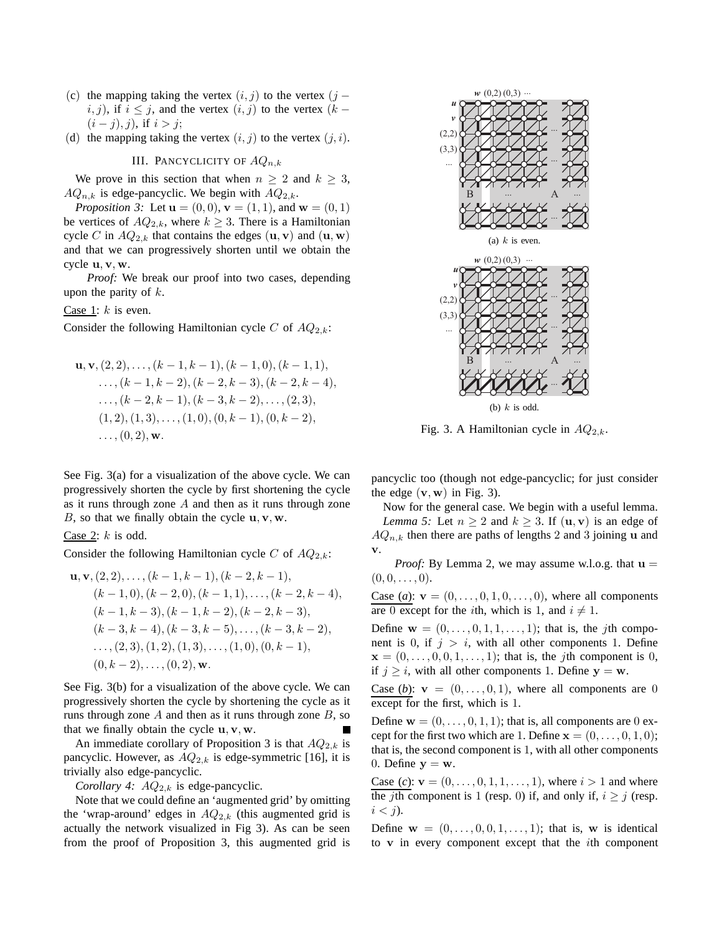- (c) the mapping taking the vertex  $(i, j)$  to the vertex  $(j j)$  $i, j$ ), if  $i \leq j$ , and the vertex  $(i, j)$  to the vertex  $(k - j)$  $(i - j), j$ , if  $i > j$ ;
- (d) the mapping taking the vertex  $(i, j)$  to the vertex  $(j, i)$ .

III. PANCYCLICITY OF  $AQ_{n,k}$ 

We prove in this section that when  $n \geq 2$  and  $k \geq 3$ ,  $AQ_{n,k}$  is edge-pancyclic. We begin with  $AQ_{2,k}$ .

*Proposition 3:* Let  $\mathbf{u} = (0, 0), \mathbf{v} = (1, 1),$  and  $\mathbf{w} = (0, 1)$ be vertices of  $AQ_{2,k}$ , where  $k \geq 3$ . There is a Hamiltonian cycle C in  $AQ_{2,k}$  that contains the edges  $(\mathbf{u}, \mathbf{v})$  and  $(\mathbf{u}, \mathbf{w})$ and that we can progressively shorten until we obtain the cycle u, v, w.

*Proof:* We break our proof into two cases, depending upon the parity of  $k$ .

Case 1:  $k$  is even.

Consider the following Hamiltonian cycle C of  $AQ_{2,k}$ :

$$
\mathbf{u}, \mathbf{v}, (2, 2), \dots, (k - 1, k - 1), (k - 1, 0), (k - 1, 1),
$$
  
\n
$$
\dots, (k - 1, k - 2), (k - 2, k - 3), (k - 2, k - 4),
$$
  
\n
$$
\dots, (k - 2, k - 1), (k - 3, k - 2), \dots, (2, 3),
$$
  
\n
$$
(1, 2), (1, 3), \dots, (1, 0), (0, k - 1), (0, k - 2),
$$
  
\n
$$
\dots, (0, 2), \mathbf{w}.
$$

See Fig. 3(a) for a visualization of the above cycle. We can progressively shorten the cycle by first shortening the cycle as it runs through zone A and then as it runs through zone B, so that we finally obtain the cycle  $\mathbf{u}, \mathbf{v}, \mathbf{w}$ .

Case 2:  $k$  is odd.

Consider the following Hamiltonian cycle C of  $AQ_{2,k}$ :

$$
\mathbf{u}, \mathbf{v}, (2, 2), \dots, (k - 1, k - 1), (k - 2, k - 1),
$$
  
\n
$$
(k - 1, 0), (k - 2, 0), (k - 1, 1), \dots, (k - 2, k - 4),
$$
  
\n
$$
(k - 1, k - 3), (k - 1, k - 2), (k - 2, k - 3),
$$
  
\n
$$
(k - 3, k - 4), (k - 3, k - 5), \dots, (k - 3, k - 2),
$$
  
\n
$$
\dots, (2, 3), (1, 2), (1, 3), \dots, (1, 0), (0, k - 1),
$$
  
\n
$$
(0, k - 2), \dots, (0, 2), \mathbf{w}.
$$

See Fig. 3(b) for a visualization of the above cycle. We can progressively shorten the cycle by shortening the cycle as it runs through zone  $A$  and then as it runs through zone  $B$ , so that we finally obtain the cycle  $\mathbf{u}, \mathbf{v}, \mathbf{w}$ .

An immediate corollary of Proposition 3 is that  $AQ_{2,k}$  is pancyclic. However, as  $AQ_{2,k}$  is edge-symmetric [16], it is trivially also edge-pancyclic.

*Corollary 4:*  $AQ_{2,k}$  is edge-pancyclic.

Note that we could define an 'augmented grid' by omitting the 'wrap-around' edges in  $AQ_{2,k}$  (this augmented grid is actually the network visualized in Fig 3). As can be seen from the proof of Proposition 3, this augmented grid is



Fig. 3. A Hamiltonian cycle in  $AQ_{2,k}$ .

pancyclic too (though not edge-pancyclic; for just consider the edge  $(v, w)$  in Fig. 3).

Now for the general case. We begin with a useful lemma. *Lemma 5:* Let  $n \geq 2$  and  $k \geq 3$ . If  $(\mathbf{u}, \mathbf{v})$  is an edge of  $AQ_{n,k}$  then there are paths of lengths 2 and 3 joining u and v.

*Proof:* By Lemma 2, we may assume w.l.o.g. that  $u =$  $(0, 0, \ldots, 0).$ 

Case (*a*):  $v = (0, ..., 0, 1, 0, ..., 0)$ , where all components are 0 except for the *i*th, which is 1, and  $i \neq 1$ .

Define  $\mathbf{w} = (0, \ldots, 0, 1, 1, \ldots, 1)$ ; that is, the *j*th component is 0, if  $j > i$ , with all other components 1. Define  $\mathbf{x} = (0, \ldots, 0, 0, 1, \ldots, 1)$ ; that is, the *j*th component is 0, if  $j \geq i$ , with all other components 1. Define  $y = w$ .

Case (b):  $\mathbf{v} = (0, \ldots, 0, 1)$ , where all components are 0 except for the first, which is 1.

Define  $\mathbf{w} = (0, \ldots, 0, 1, 1)$ ; that is, all components are 0 except for the first two which are 1. Define  $\mathbf{x} = (0, \dots, 0, 1, 0);$ that is, the second component is 1, with all other components 0. Define  $y = w$ .

Case (*c*):  $v = (0, \ldots, 0, 1, 1, \ldots, 1)$ , where  $i > 1$  and where the *j*th component is 1 (resp. 0) if, and only if,  $i \ge j$  (resp.  $i < j$ ).

Define  $\mathbf{w} = (0, \ldots, 0, 0, 1, \ldots, 1)$ ; that is, w is identical to  $v$  in every component except that the *i*th component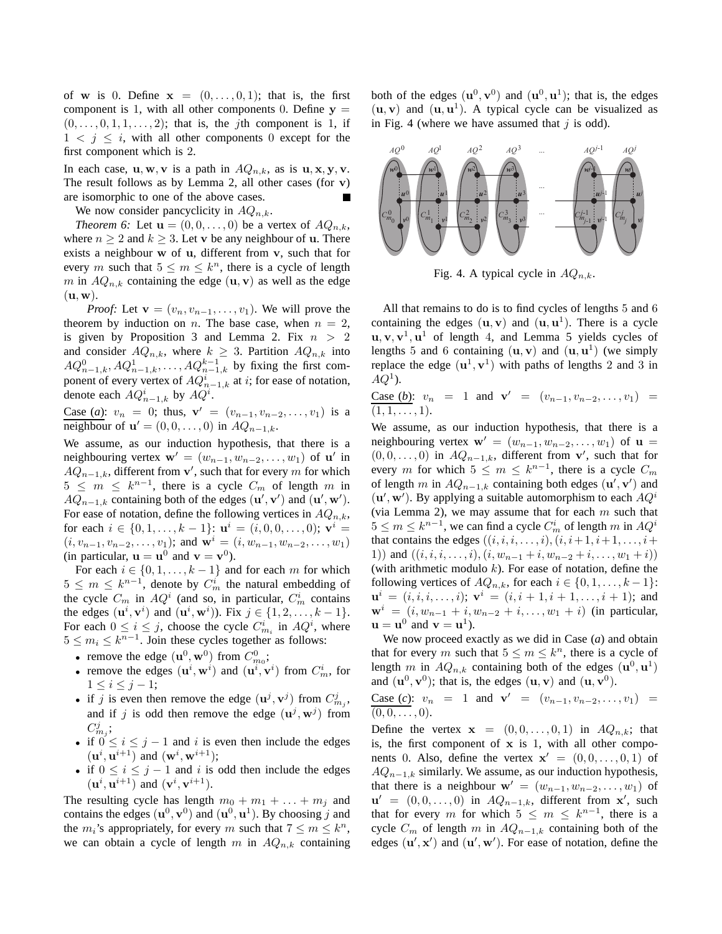of w is 0. Define  $x = (0, \ldots, 0, 1)$ ; that is, the first component is 1, with all other components 0. Define  $y =$  $(0, \ldots, 0, 1, 1, \ldots, 2)$ ; that is, the *j*th component is 1, if  $1 \lt j \leq i$ , with all other components 0 except for the first component which is 2.

In each case,  $\mathbf{u}, \mathbf{w}, \mathbf{v}$  is a path in  $AQ_{n,k}$ , as is  $\mathbf{u}, \mathbf{x}, \mathbf{y}, \mathbf{v}$ . The result follows as by Lemma 2, all other cases (for  $v$ ) are isomorphic to one of the above cases. П

We now consider pancyclicity in  $AQ_{n,k}$ .

*Theorem 6:* Let  $\mathbf{u} = (0, 0, \dots, 0)$  be a vertex of  $AQ_{n,k}$ , where  $n \geq 2$  and  $k \geq 3$ . Let v be any neighbour of u. There exists a neighbour w of u, different from v, such that for every m such that  $5 \le m \le k^n$ , there is a cycle of length m in  $AQ_{n,k}$  containing the edge  $(\mathbf{u}, \mathbf{v})$  as well as the edge  $(\mathbf{u}, \mathbf{w})$ .

*Proof:* Let  $\mathbf{v} = (v_n, v_{n-1}, \dots, v_1)$ . We will prove the theorem by induction on *n*. The base case, when  $n = 2$ , is given by Proposition 3 and Lemma 2. Fix  $n > 2$ and consider  $AQ_{n,k}$ , where  $k \geq 3$ . Partition  $AQ_{n,k}$  into  $AQ_{n-1,k}^0, AQ_{n-1,k}^1, \ldots, AQ_{n-1,k}^{k-1}$  by fixing the first component of every vertex of  $AQ_{n-1,k}^i$  at i; for ease of notation, denote each  $AQ_{n-1,k}^i$  by  $AQ^i$ .

Case (*a*):  $v_n = 0$ ; thus,  $\mathbf{v}' = (v_{n-1}, v_{n-2}, \dots, v_1)$  is a neighbour of  $\mathbf{u}' = (0, 0, \dots, 0)$  in  $AQ_{n-1,k}$ .

We assume, as our induction hypothesis, that there is a neighbouring vertex  $\mathbf{w}' = (w_{n-1}, w_{n-2}, \dots, w_1)$  of  $\mathbf{u}'$  in  $AQ_{n-1,k}$ , different from v', such that for every m for which  $5 \le m \le k^{n-1}$ , there is a cycle  $C_m$  of length m in  $\overline{AQ_{n-1,k}}$  containing both of the edges  $(\mathbf{u}', \mathbf{v}')$  and  $(\mathbf{u}', \mathbf{w}')$ . For ease of notation, define the following vertices in  $AQ_{n,k}$ , for each  $i \in \{0, 1, \ldots, k - 1\}$ :  $\mathbf{u}^i = (i, 0, 0, \ldots, 0)$ ;  $\mathbf{v}^i =$  $(i, v_{n-1}, v_{n-2}, \ldots, v_1)$ ; and  $\mathbf{w}^i = (i, w_{n-1}, w_{n-2}, \ldots, w_1)$ (in particular,  $\mathbf{u} = \mathbf{u}^0$  and  $\mathbf{v} = \mathbf{v}^0$ ).

For each  $i \in \{0, 1, \ldots, k-1\}$  and for each m for which  $5 \leq m \leq k^{n-1}$ , denote by  $C_m^i$  the natural embedding of the cycle  $C_m$  in  $AQ^i$  (and so, in particular,  $C_m^i$  contains the edges  $(\mathbf{u}^i, \mathbf{v}^i)$  and  $(\mathbf{u}^i, \mathbf{w}^i)$ ). Fix  $j \in \{1, 2, \dots, k-1\}$ . For each  $0 \le i \le j$ , choose the cycle  $C_{m_i}^i$  in  $AQ^i$ , where  $5 \le m_i \le k^{n-1}$ . Join these cycles together as follows:

- remove the edge  $(\mathbf{u}^0, \mathbf{w}^0)$  from  $C_{m_0}^0$ ;
- remove the edges  $(\mathbf{u}^i, \mathbf{w}^i)$  and  $(\mathbf{u}^i, \mathbf{v}^i)$  from  $C_m^i$ , for  $1 \leq i \leq j-1;$
- if j is even then remove the edge  $(\mathbf{u}^j, \mathbf{v}^j)$  from  $C_{m_j}^j$ , and if j is odd then remove the edge  $(\mathbf{u}^j, \mathbf{w}^j)$  from  $C_{m_j}^j;$
- if  $0 \le i \le j-1$  and i is even then include the edges  $(\mathbf{u}^i, \mathbf{u}^{i+1})$  and  $(\mathbf{w}^i, \mathbf{w}^{i+1})$ ;
- if  $0 \le i \le j-1$  and i is odd then include the edges  $(\mathbf{u}^i, \mathbf{u}^{i+1})$  and  $(\mathbf{v}^i, \mathbf{v}^{i+1})$ .

The resulting cycle has length  $m_0 + m_1 + \ldots + m_i$  and contains the edges  $(\mathbf{u}^0, \mathbf{v}^0)$  and  $(\mathbf{u}^0, \mathbf{u}^1)$ . By choosing j and the  $m_i$ 's appropriately, for every m such that  $7 \le m \le k^n$ , we can obtain a cycle of length m in  $AQ_{n,k}$  containing

both of the edges  $(\mathbf{u}^0, \mathbf{v}^0)$  and  $(\mathbf{u}^0, \mathbf{u}^1)$ ; that is, the edges  $(\mathbf{u}, \mathbf{v})$  and  $(\mathbf{u}, \mathbf{u}^1)$ . A typical cycle can be visualized as in Fig. 4 (where we have assumed that  $j$  is odd).



Fig. 4. A typical cycle in  $AQ_{n,k}$ .

All that remains to do is to find cycles of lengths 5 and 6 containing the edges  $(\mathbf{u}, \mathbf{v})$  and  $(\mathbf{u}, \mathbf{u}^1)$ . There is a cycle  $\mathbf{u}, \mathbf{v}, \mathbf{v}^1, \mathbf{u}^1$  of length 4, and Lemma 5 yields cycles of lengths 5 and 6 containing  $(\mathbf{u}, \mathbf{v})$  and  $(\mathbf{u}, \mathbf{u}^1)$  (we simply replace the edge  $(\mathbf{u}^1, \mathbf{v}^1)$  with paths of lengths 2 and 3 in  $AQ^1$ ).

Case (*b*):  $v_n = 1$  and  $v' = (v_{n-1}, v_{n-2}, \dots, v_1) =$  $(1, 1, \ldots, 1).$ 

We assume, as our induction hypothesis, that there is a neighbouring vertex  $\mathbf{w}' = (w_{n-1}, w_{n-2}, \dots, w_1)$  of  $\mathbf{u} =$  $(0, 0, \ldots, 0)$  in  $AQ_{n-1,k}$ , different from v', such that for every m for which  $5 \le m \le k^{n-1}$ , there is a cycle  $C_m$ of length m in  $AQ_{n-1,k}$  containing both edges  $(\mathbf{u}', \mathbf{v}')$  and  $({\bf u}', {\bf w}')$ . By applying a suitable automorphism to each  $AQ^i$ (via Lemma 2), we may assume that for each  $m$  such that  $5 \le m \le k^{n-1}$ , we can find a cycle  $C_m^i$  of length m in  $AQ^i$ that contains the edges  $((i, i, i, \ldots, i), (i, i+1, i+1, \ldots, i+1, \ldots, i+1, i+1, \ldots, i+1, \ldots, i+1, \ldots, i+1, \ldots, i+1, \ldots, i+1, \ldots, i+1, \ldots, i+1, \ldots, i+1, \ldots, i+1, \ldots, i+1, \ldots, i+1, \ldots, i+1, \ldots, i+1, \ldots, i+1, \ldots, i+1, \ldots, i+1, \ldots, i+1, \ldots, i+1, \ldots, i+1,$ 1)) and  $((i, i, i, \ldots, i), (i, w_{n-1} + i, w_{n-2} + i, \ldots, w_1 + i))$ (with arithmetic modulo  $k$ ). For ease of notation, define the following vertices of  $AQ_{n,k}$ , for each  $i \in \{0, 1, \ldots, k-1\}$ :  $\mathbf{u}^i = (i, i, i, \dots, i); \; \mathbf{v}^i = (i, i + 1, i + 1, \dots, i + 1); \; \text{and}$  $\mathbf{w}^{i} = (i, w_{n-1} + i, w_{n-2} + i, \dots, w_1 + i)$  (in particular,  $\mathbf{u} = \mathbf{u}^0$  and  $\mathbf{v} = \mathbf{u}^1$ ).

We now proceed exactly as we did in Case (*a*) and obtain that for every m such that  $5 \le m \le k^n$ , there is a cycle of length m in  $AQ_{n,k}$  containing both of the edges  $(\mathbf{u}^0, \mathbf{u}^1)$ and  $(\mathbf{u}^0, \mathbf{v}^0)$ ; that is, the edges  $(\mathbf{u}, \mathbf{v})$  and  $(\mathbf{u}, \mathbf{v}^0)$ .

Case (*c*):  $v_n = 1$  and  $\mathbf{v}' = (v_{n-1}, v_{n-2}, \dots, v_1) =$  $(0, 0, \ldots, 0).$ 

Define the vertex  $x = (0, 0, \ldots, 0, 1)$  in  $AQ_{n,k}$ ; that is, the first component of  $x$  is 1, with all other components 0. Also, define the vertex  $\mathbf{x}' = (0, 0, \dots, 0, 1)$  of  $AQ_{n-1,k}$  similarly. We assume, as our induction hypothesis, that there is a neighbour  $\mathbf{w}' = (w_{n-1}, w_{n-2}, \dots, w_1)$  of  $\mathbf{u}' = (0, 0, \dots, 0)$  in  $AQ_{n-1,k}$ , different from x', such that for every m for which  $5 \le m \le k^{n-1}$ , there is a cycle  $C_m$  of length m in  $AQ_{n-1,k}$  containing both of the edges  $(\mathbf{u}', \mathbf{x}')$  and  $(\mathbf{u}', \mathbf{w}')$ . For ease of notation, define the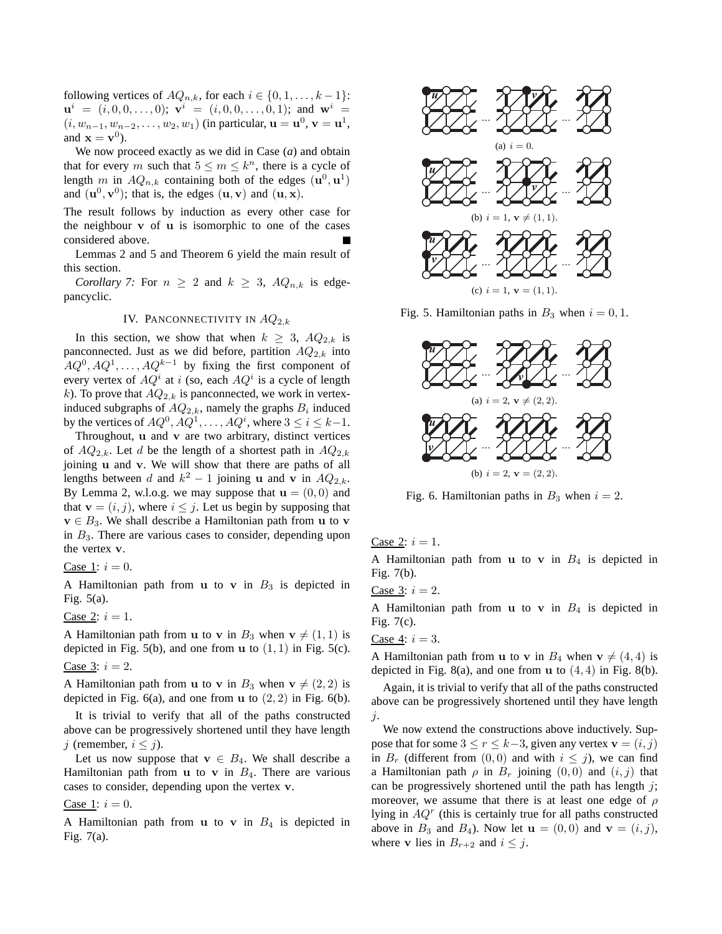following vertices of  $AQ_{n,k}$ , for each  $i \in \{0,1,\ldots,k-1\}$ :  ${\bf u}^i = (i, 0, 0, \ldots, 0); \; {\bf v}^i = (i, 0, 0, \ldots, 0, 1); \; \text{and} \; \; {\bf w}^i =$  $(i, w_{n-1}, w_{n-2}, \dots, w_2, w_1)$  (in particular,  ${\bf u} = {\bf u}^0$ ,  ${\bf v} = {\bf u}^1$ , and  $\mathbf{x} = \mathbf{v}^0$ ).

We now proceed exactly as we did in Case (*a*) and obtain that for every m such that  $5 \le m \le k^n$ , there is a cycle of length m in  $AQ_{n,k}$  containing both of the edges  $(\mathbf{u}^0, \mathbf{u}^1)$ and  $(\mathbf{u}^0, \mathbf{v}^0)$ ; that is, the edges  $(\mathbf{u}, \mathbf{v})$  and  $(\mathbf{u}, \mathbf{x})$ .

The result follows by induction as every other case for the neighbour  $v$  of  $u$  is isomorphic to one of the cases considered above.

Lemmas 2 and 5 and Theorem 6 yield the main result of this section.

*Corollary 7:* For  $n \geq 2$  and  $k \geq 3$ ,  $AQ_{n,k}$  is edgepancyclic.

# IV. PANCONNECTIVITY IN  $AQ_{2,k}$

In this section, we show that when  $k \geq 3$ ,  $AQ_{2,k}$  is panconnected. Just as we did before, partition  $AQ_{2,k}$  into  $A Q^0, A Q^1, \ldots, A Q^{k-1}$  by fixing the first component of every vertex of  $AQ^i$  at i (so, each  $AQ^i$  is a cycle of length k). To prove that  $AQ_{2,k}$  is panconnected, we work in vertexinduced subgraphs of  $AQ_{2,k}$ , namely the graphs  $B_i$  induced by the vertices of  $AQ^0$ ,  $AQ^1$ , ...,  $AQ^i$ , where  $3 \le i \le k-1$ .

Throughout, u and v are two arbitrary, distinct vertices of  $AQ_{2,k}$ . Let d be the length of a shortest path in  $AQ_{2,k}$ joining u and v. We will show that there are paths of all lengths between d and  $k^2 - 1$  joining **u** and **v** in  $AQ_{2,k}$ . By Lemma 2, w.l.o.g. we may suppose that  $\mathbf{u} = (0,0)$  and that  $\mathbf{v} = (i, j)$ , where  $i \leq j$ . Let us begin by supposing that  $v \in B_3$ . We shall describe a Hamiltonian path from u to v in  $B_3$ . There are various cases to consider, depending upon the vertex v.

Case 1:  $i = 0$ .

A Hamiltonian path from u to v in  $B_3$  is depicted in Fig. 5(a).

Case 2: 
$$
i = 1
$$
.

A Hamiltonian path from **u** to **v** in  $B_3$  when  $\mathbf{v} \neq (1, 1)$  is depicted in Fig. 5(b), and one from  $u$  to  $(1, 1)$  in Fig. 5(c).

Case 3: 
$$
i = 2
$$
.

A Hamiltonian path from **u** to **v** in  $B_3$  when  $\mathbf{v} \neq (2, 2)$  is depicted in Fig.  $6(a)$ , and one from u to  $(2, 2)$  in Fig.  $6(b)$ .

It is trivial to verify that all of the paths constructed above can be progressively shortened until they have length j (remember,  $i \leq j$ ).

Let us now suppose that  $\mathbf{v} \in B_4$ . We shall describe a Hamiltonian path from  $u$  to  $v$  in  $B_4$ . There are various cases to consider, depending upon the vertex v.

#### Case 1:  $i = 0$ .

A Hamiltonian path from  $u$  to  $v$  in  $B_4$  is depicted in Fig. 7(a).



Fig. 5. Hamiltonian paths in  $B_3$  when  $i = 0, 1$ .



Fig. 6. Hamiltonian paths in  $B_3$  when  $i = 2$ .

Case 2:  $i = 1$ .

A Hamiltonian path from **u** to **v** in  $B_4$  is depicted in Fig. 7(b).

Case 3:  $i = 2$ .

A Hamiltonian path from  $u$  to  $v$  in  $B_4$  is depicted in Fig. 7(c).

#### <u>Case 4</u>:  $i = 3$ .

A Hamiltonian path from **u** to **v** in  $B_4$  when  $\mathbf{v} \neq (4, 4)$  is depicted in Fig. 8(a), and one from  $u$  to  $(4, 4)$  in Fig. 8(b).

Again, it is trivial to verify that all of the paths constructed above can be progressively shortened until they have length j.

We now extend the constructions above inductively. Suppose that for some  $3 \le r \le k-3$ , given any vertex  $\mathbf{v} = (i, j)$ in  $B_r$  (different from  $(0, 0)$  and with  $i \leq j$ ), we can find a Hamiltonian path  $\rho$  in  $B_r$  joining  $(0,0)$  and  $(i, j)$  that can be progressively shortened until the path has length  $i$ ; moreover, we assume that there is at least one edge of  $\rho$ lying in  $AQ<sup>r</sup>$  (this is certainly true for all paths constructed above in  $B_3$  and  $B_4$ ). Now let  $\mathbf{u} = (0,0)$  and  $\mathbf{v} = (i, j)$ , where **v** lies in  $B_{r+2}$  and  $i \leq j$ .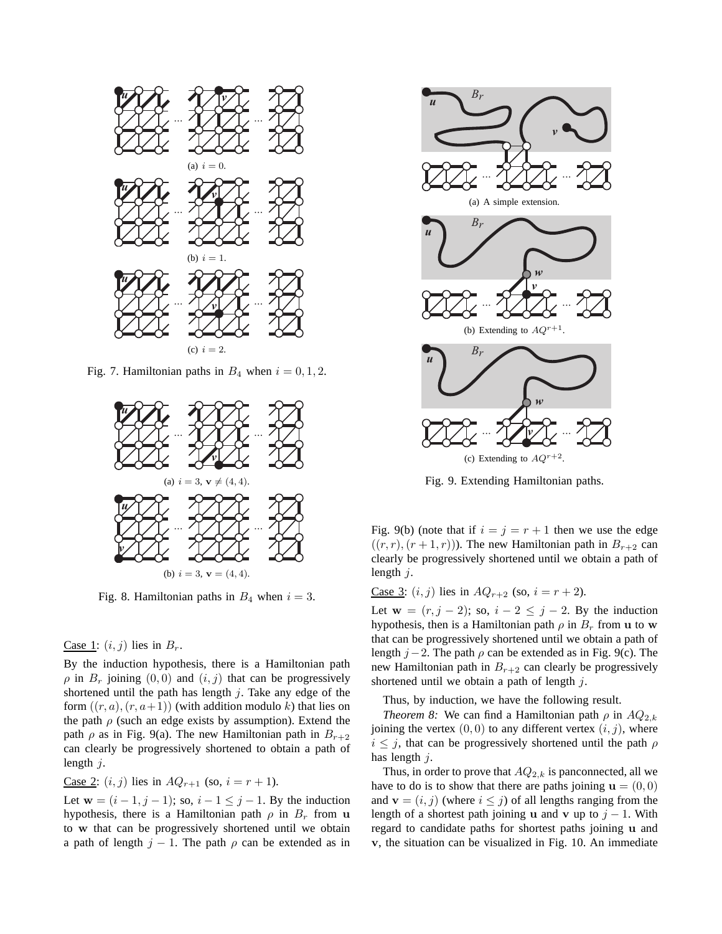

Fig. 7. Hamiltonian paths in  $B_4$  when  $i = 0, 1, 2$ .



Fig. 8. Hamiltonian paths in  $B_4$  when  $i = 3$ .

#### Case 1:  $(i, j)$  lies in  $B_r$ .

By the induction hypothesis, there is a Hamiltonian path  $\rho$  in  $B_r$  joining  $(0, 0)$  and  $(i, j)$  that can be progressively shortened until the path has length  $j$ . Take any edge of the form  $((r, a), (r, a+1))$  (with addition modulo k) that lies on the path  $\rho$  (such an edge exists by assumption). Extend the path  $\rho$  as in Fig. 9(a). The new Hamiltonian path in  $B_{r+2}$ can clearly be progressively shortened to obtain a path of length  $j$ .

# Case 2:  $(i, j)$  lies in  $AQ_{r+1}$  (so,  $i = r + 1$ ).

Let  $\mathbf{w} = (i - 1, j - 1)$ ; so,  $i - 1 \leq j - 1$ . By the induction hypothesis, there is a Hamiltonian path  $\rho$  in  $B_r$  from u to w that can be progressively shortened until we obtain a path of length  $j - 1$ . The path  $\rho$  can be extended as in



Fig. 9. Extending Hamiltonian paths.

Fig. 9(b) (note that if  $i = j = r + 1$  then we use the edge  $((r, r), (r + 1, r))$ . The new Hamiltonian path in  $B_{r+2}$  can clearly be progressively shortened until we obtain a path of length  $j$ .

<u>Case 3</u>:  $(i, j)$  lies in  $AQ_{r+2}$  (so,  $i = r + 2$ ).

Let  $\mathbf{w} = (r, j - 2)$ ; so,  $i - 2 \leq j - 2$ . By the induction hypothesis, then is a Hamiltonian path  $\rho$  in  $B_r$  from u to w that can be progressively shortened until we obtain a path of length  $j-2$ . The path  $\rho$  can be extended as in Fig. 9(c). The new Hamiltonian path in  $B_{r+2}$  can clearly be progressively shortened until we obtain a path of length  $j$ .

Thus, by induction, we have the following result.

*Theorem 8:* We can find a Hamiltonian path  $\rho$  in  $AQ_{2,k}$ joining the vertex  $(0, 0)$  to any different vertex  $(i, j)$ , where  $i \leq j$ , that can be progressively shortened until the path  $\rho$ has length j.

Thus, in order to prove that  $AQ_{2,k}$  is panconnected, all we have to do is to show that there are paths joining  $\mathbf{u} = (0,0)$ and  $\mathbf{v} = (i, j)$  (where  $i \leq j$ ) of all lengths ranging from the length of a shortest path joining u and v up to  $j - 1$ . With regard to candidate paths for shortest paths joining u and v, the situation can be visualized in Fig. 10. An immediate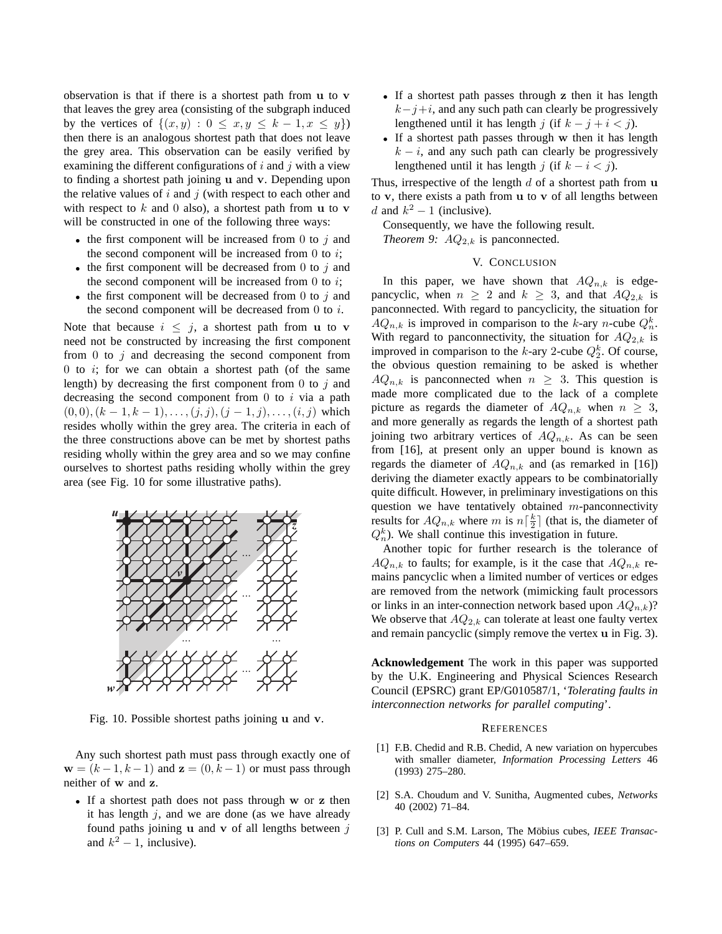observation is that if there is a shortest path from u to v that leaves the grey area (consisting of the subgraph induced by the vertices of  $\{(x,y): 0 \le x, y \le k-1, x \le y\}$ then there is an analogous shortest path that does not leave the grey area. This observation can be easily verified by examining the different configurations of  $i$  and  $j$  with a view to finding a shortest path joining u and v. Depending upon the relative values of  $i$  and  $j$  (with respect to each other and with respect to  $k$  and 0 also), a shortest path from u to v will be constructed in one of the following three ways:

- the first component will be increased from 0 to  $i$  and the second component will be increased from  $0$  to  $i$ ;
- the first component will be decreased from 0 to  $j$  and the second component will be increased from 0 to  $i$ ;
- the first component will be decreased from 0 to  $j$  and the second component will be decreased from  $0$  to  $i$ .

Note that because  $i \leq j$ , a shortest path from u to v need not be constructed by increasing the first component from  $0$  to  $j$  and decreasing the second component from  $0$  to  $i$ ; for we can obtain a shortest path (of the same length) by decreasing the first component from  $0$  to  $j$  and decreasing the second component from  $\theta$  to  $i$  via a path  $(0, 0), (k - 1, k - 1), \ldots, (j, j), (j - 1, j), \ldots, (i, j)$  which resides wholly within the grey area. The criteria in each of the three constructions above can be met by shortest paths residing wholly within the grey area and so we may confine ourselves to shortest paths residing wholly within the grey area (see Fig. 10 for some illustrative paths).



Fig. 10. Possible shortest paths joining u and v.

Any such shortest path must pass through exactly one of  $\mathbf{w} = (k-1, k-1)$  and  $\mathbf{z} = (0, k-1)$  or must pass through neither of w and z.

• If a shortest path does not pass through w or z then it has length  $i$ , and we are done (as we have already found paths joining  $\bf{u}$  and  $\bf{v}$  of all lengths between  $\bf{\hat{i}}$ and  $k^2 - 1$ , inclusive).

- If a shortest path passes through z then it has length  $k-j+i$ , and any such path can clearly be progressively lengthened until it has length j (if  $k - j + i < j$ ).
- If a shortest path passes through w then it has length  $k - i$ , and any such path can clearly be progressively lengthened until it has length j (if  $k - i < j$ ).

Thus, irrespective of the length  $d$  of a shortest path from  $\bf{u}$ to  $v$ , there exists a path from  $u$  to  $v$  of all lengths between d and  $k^2 - 1$  (inclusive).

Consequently, we have the following result.

*Theorem 9:*  $AQ_{2,k}$  is panconnected.

## V. CONCLUSION

In this paper, we have shown that  $AQ_{n,k}$  is edgepancyclic, when  $n \geq 2$  and  $k \geq 3$ , and that  $AQ_{2,k}$  is panconnected. With regard to pancyclicity, the situation for  $AQ_{n,k}$  is improved in comparison to the k-ary n-cube  $Q_n^k$ . With regard to panconnectivity, the situation for  $AQ_{2,k}$  is improved in comparison to the  $k$ -ary 2-cube  $Q_2^k$ . Of course, the obvious question remaining to be asked is whether  $AQ_{n,k}$  is panconnected when  $n \geq 3$ . This question is made more complicated due to the lack of a complete picture as regards the diameter of  $AQ_{n,k}$  when  $n \geq 3$ , and more generally as regards the length of a shortest path joining two arbitrary vertices of  $AQ_{n,k}$ . As can be seen from [16], at present only an upper bound is known as regards the diameter of  $AQ_{n,k}$  and (as remarked in [16]) deriving the diameter exactly appears to be combinatorially quite difficult. However, in preliminary investigations on this question we have tentatively obtained  $m$ -panconnectivity results for  $AQ_{n,k}$  where m is  $n\left[\frac{k}{2}\right]$  (that is, the diameter of  $Q_n^k$ ). We shall continue this investigation in future.

Another topic for further research is the tolerance of  $AQ_{n,k}$  to faults; for example, is it the case that  $AQ_{n,k}$  remains pancyclic when a limited number of vertices or edges are removed from the network (mimicking fault processors or links in an inter-connection network based upon  $AQ_{n,k}$ ? We observe that  $AQ_{2,k}$  can tolerate at least one faulty vertex and remain pancyclic (simply remove the vertex u in Fig. 3).

**Acknowledgement** The work in this paper was supported by the U.K. Engineering and Physical Sciences Research Council (EPSRC) grant EP/G010587/1, '*Tolerating faults in interconnection networks for parallel computing*'.

#### **REFERENCES**

- [1] F.B. Chedid and R.B. Chedid, A new variation on hypercubes with smaller diameter, *Information Processing Letters* 46 (1993) 275–280.
- [2] S.A. Choudum and V. Sunitha, Augmented cubes, *Networks* 40 (2002) 71–84.
- [3] P. Cull and S.M. Larson, The Möbius cubes, *IEEE Transactions on Computers* 44 (1995) 647–659.